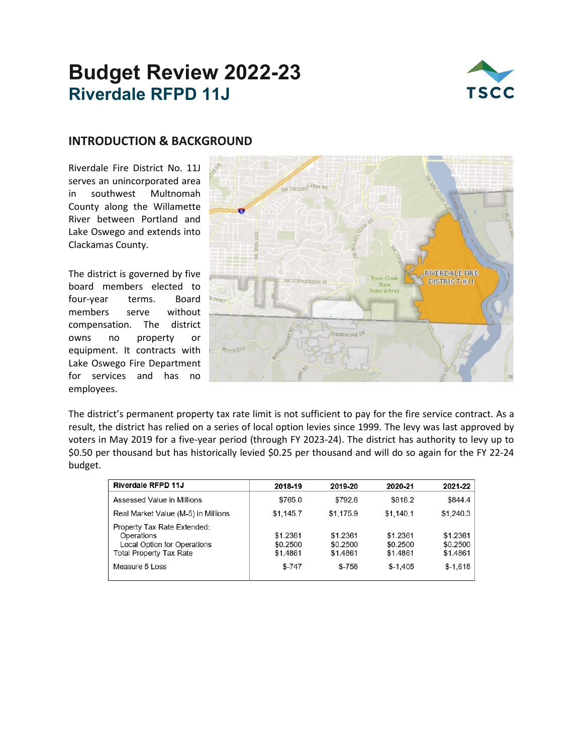## **Budget Review 2022-23 Riverdale RFPD 11J**



#### **INTRODUCTION & BACKGROUND**

Riverdale Fire District No. 11J serves an unincorporated area in southwest Multnomah County along the Willamette River between Portland and Lake Oswego and extends into Clackamas County.

The district is governed by five board members elected to four-year terms. Board members serve without compensation. The district owns no property or equipment. It contracts with Lake Oswego Fire Department for services and has no employees.



The district's permanent property tax rate limit is not sufficient to pay for the fire service contract. As a result, the district has relied on a series of local option levies since 1999. The levy was last approved by voters in May 2019 for a five-year period (through FY 2023-24). The district has authority to levy up to \$0.50 per thousand but has historically levied \$0.25 per thousand and will do so again for the FY 22-24 budget.

| Riverdale RFPD 11J                                                                                  | 2018-19                          | 2019-20                          | 2020-21                          | 2021-22                          |
|-----------------------------------------------------------------------------------------------------|----------------------------------|----------------------------------|----------------------------------|----------------------------------|
| Assessed Value in Millions                                                                          | \$765.0                          | \$792.6                          | \$818.2                          | \$844.4                          |
| Real Market Value (M-5) in Millions                                                                 | \$1,145.7                        | \$1,175.9                        | \$1,140.1                        | \$1,240.3                        |
| Property Tax Rate Extended:<br>Operations<br>Local Option for Operations<br>Total Property Tax Rate | \$1.2361<br>\$0.2500<br>\$1.4861 | \$1.2361<br>\$0.2500<br>\$1.4861 | \$1.2361<br>\$0.2500<br>\$1.4861 | \$1.2361<br>\$0.2500<br>\$1.4861 |
| Measure 5 Loss                                                                                      | $$-747$                          | \$-758                           | $$-1,405$                        | $$-1.618$                        |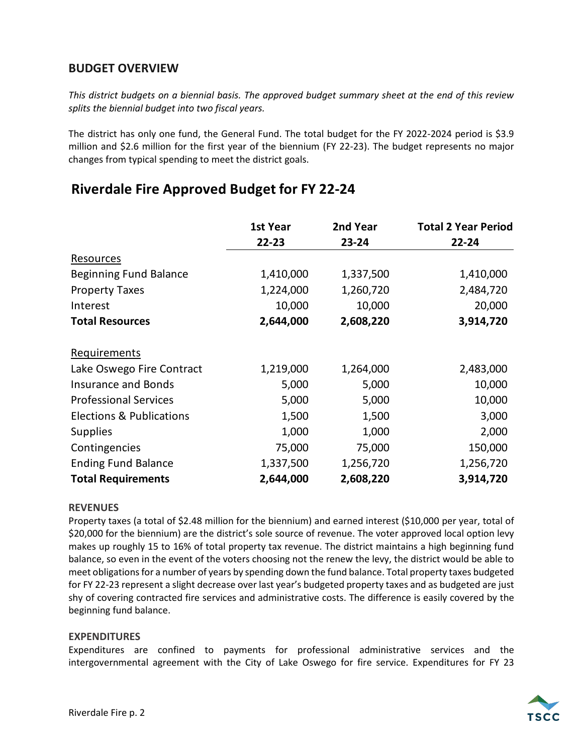## **BUDGET OVERVIEW**

*This district budgets on a biennial basis. The approved budget summary sheet at the end of this review splits the biennial budget into two fiscal years.*

The district has only one fund, the General Fund. The total budget for the FY 2022-2024 period is \$3.9 million and \$2.6 million for the first year of the biennium (FY 22-23). The budget represents no major changes from typical spending to meet the district goals.

## **Riverdale Fire Approved Budget for FY 22-24**

|                                     | 1st Year  | 2nd Year  | <b>Total 2 Year Period</b> |  |
|-------------------------------------|-----------|-----------|----------------------------|--|
|                                     | 22-23     | 23-24     | 22-24                      |  |
| Resources                           |           |           |                            |  |
| <b>Beginning Fund Balance</b>       | 1,410,000 | 1,337,500 | 1,410,000                  |  |
| <b>Property Taxes</b>               | 1,224,000 | 1,260,720 | 2,484,720                  |  |
| Interest                            | 10,000    | 10,000    | 20,000                     |  |
| <b>Total Resources</b>              | 2,644,000 | 2,608,220 | 3,914,720                  |  |
| Requirements                        |           |           |                            |  |
| Lake Oswego Fire Contract           | 1,219,000 | 1,264,000 | 2,483,000                  |  |
| <b>Insurance and Bonds</b>          | 5,000     | 5,000     | 10,000                     |  |
| <b>Professional Services</b>        | 5,000     | 5,000     | 10,000                     |  |
| <b>Elections &amp; Publications</b> | 1,500     | 1,500     | 3,000                      |  |
| <b>Supplies</b>                     | 1,000     | 1,000     | 2,000                      |  |
| Contingencies                       | 75,000    | 75,000    | 150,000                    |  |
| <b>Ending Fund Balance</b>          | 1,337,500 | 1,256,720 | 1,256,720                  |  |
| <b>Total Requirements</b>           | 2,644,000 | 2,608,220 | 3,914,720                  |  |

#### **REVENUES**

Property taxes (a total of \$2.48 million for the biennium) and earned interest (\$10,000 per year, total of \$20,000 for the biennium) are the district's sole source of revenue. The voter approved local option levy makes up roughly 15 to 16% of total property tax revenue. The district maintains a high beginning fund balance, so even in the event of the voters choosing not the renew the levy, the district would be able to meet obligations for a number of years by spending down the fund balance. Total property taxes budgeted for FY 22-23 represent a slight decrease over last year's budgeted property taxes and as budgeted are just shy of covering contracted fire services and administrative costs. The difference is easily covered by the beginning fund balance.

#### **EXPENDITURES**

Expenditures are confined to payments for professional administrative services and the intergovernmental agreement with the City of Lake Oswego for fire service. Expenditures for FY 23

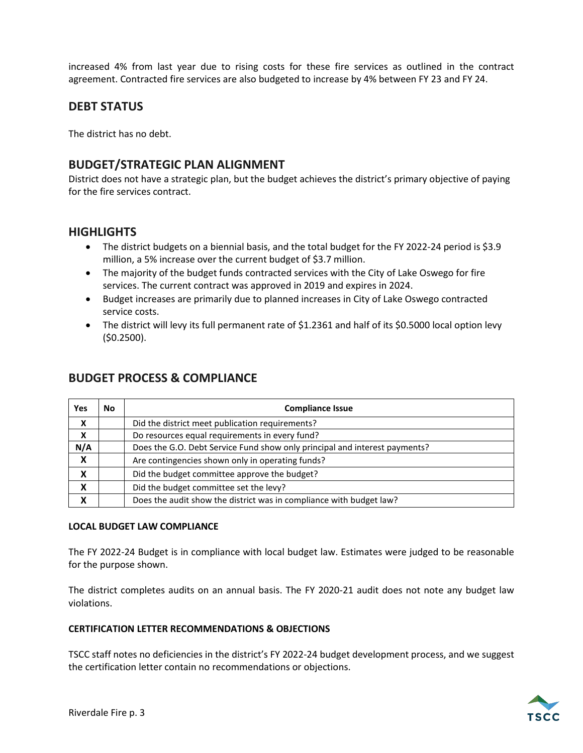increased 4% from last year due to rising costs for these fire services as outlined in the contract agreement. Contracted fire services are also budgeted to increase by 4% between FY 23 and FY 24.

## **DEBT STATUS**

The district has no debt.

#### **BUDGET/STRATEGIC PLAN ALIGNMENT**

District does not have a strategic plan, but the budget achieves the district's primary objective of paying for the fire services contract.

#### **HIGHLIGHTS**

- The district budgets on a biennial basis, and the total budget for the FY 2022-24 period is \$3.9 million, a 5% increase over the current budget of \$3.7 million.
- The majority of the budget funds contracted services with the City of Lake Oswego for fire services. The current contract was approved in 2019 and expires in 2024.
- Budget increases are primarily due to planned increases in City of Lake Oswego contracted service costs.
- The district will levy its full permanent rate of \$1.2361 and half of its \$0.5000 local option levy (\$0.2500).

| <b>Yes</b> | No | <b>Compliance Issue</b>                                                    |
|------------|----|----------------------------------------------------------------------------|
| X          |    | Did the district meet publication requirements?                            |
| X          |    | Do resources equal requirements in every fund?                             |
| N/A        |    | Does the G.O. Debt Service Fund show only principal and interest payments? |
| X          |    | Are contingencies shown only in operating funds?                           |
| X          |    | Did the budget committee approve the budget?                               |
| X          |    | Did the budget committee set the levy?                                     |
| x          |    | Does the audit show the district was in compliance with budget law?        |

### **BUDGET PROCESS & COMPLIANCE**

#### **LOCAL BUDGET LAW COMPLIANCE**

The FY 2022-24 Budget is in compliance with local budget law. Estimates were judged to be reasonable for the purpose shown.

The district completes audits on an annual basis. The FY 2020-21 audit does not note any budget law violations.

#### **CERTIFICATION LETTER RECOMMENDATIONS & OBJECTIONS**

TSCC staff notes no deficiencies in the district's FY 2022-24 budget development process, and we suggest the certification letter contain no recommendations or objections.